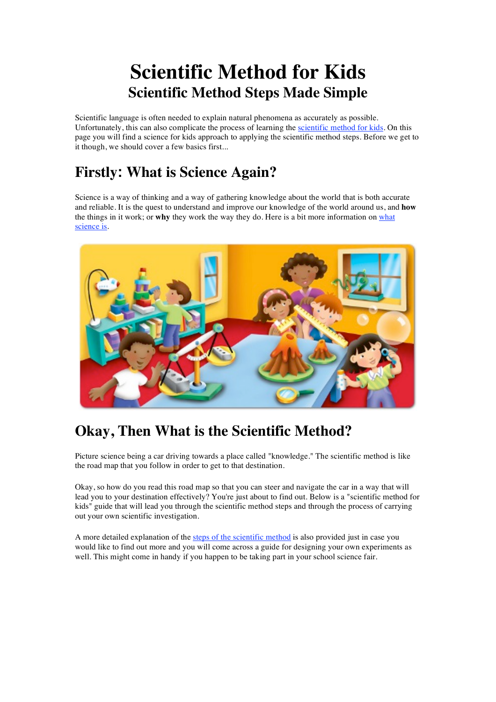# **Scientific Method for Kids Scientific Method Steps Made Simple**

Scientific language is often needed to explain natural phenomena as accurately as possible. Unfortunately, this can also complicate the process of learning the scientific method for kids. On this page you will find a science for kids approach to applying the scientific method steps. Before we get to it though, we should cover a few basics first...

## **Firstly: What is Science Again?**

Science is a way of thinking and a way of gathering knowledge about the world that is both accurate and reliable. It is the quest to understand and improve our knowledge of the world around us, and **how** the things in it work; or **why** they work the way they do. Here is a bit more information on what science is.



# **Okay, Then What is the Scientific Method?**

Picture science being a car driving towards a place called "knowledge." The scientific method is like the road map that you follow in order to get to that destination.

Okay, so how do you read this road map so that you can steer and navigate the car in a way that will lead you to your destination effectively? You're just about to find out. Below is a "scientific method for kids" guide that will lead you through the scientific method steps and through the process of carrying out your own scientific investigation.

A more detailed explanation of the steps of the scientific method is also provided just in case you would like to find out more and you will come across a guide for designing your own experiments as well. This might come in handy if you happen to be taking part in your school science fair.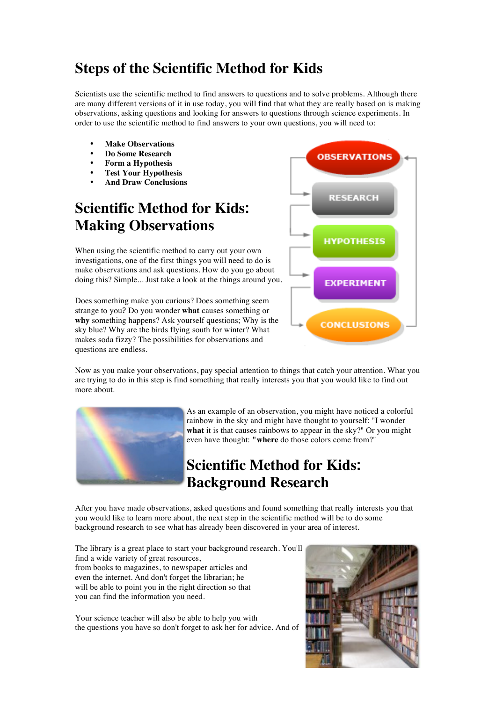#### **Steps of the Scientific Method for Kids**

Scientists use the scientific method to find answers to questions and to solve problems. Although there are many different versions of it in use today, you will find that what they are really based on is making observations, asking questions and looking for answers to questions through science experiments. In order to use the scientific method to find answers to your own questions, you will need to:

- **Make Observations**
- **Do Some Research**
- **Form a Hypothesis**
- **Test Your Hypothesis**
- **And Draw Conclusions**

## **Scientific Method for Kids: Making Observations**

When using the scientific method to carry out your own investigations, one of the first things you will need to do is make observations and ask questions. How do you go about doing this? Simple... Just take a look at the things around you.

Does something make you curious? Does something seem strange to you? Do you wonder **what** causes something or **why** something happens? Ask yourself questions; Why is the sky blue? Why are the birds flying south for winter? What makes soda fizzy? The possibilities for observations and questions are endless.



Now as you make your observations, pay special attention to things that catch your attention. What you are trying to do in this step is find something that really interests you that you would like to find out more about.



As an example of an observation, you might have noticed a colorful rainbow in the sky and might have thought to yourself: "I wonder **what** it is that causes rainbows to appear in the sky?" Or you might even have thought: **"where** do those colors come from?"

## **Scientific Method for Kids: Background Research**

After you have made observations, asked questions and found something that really interests you that you would like to learn more about, the next step in the scientific method will be to do some background research to see what has already been discovered in your area of interest.

The library is a great place to start your background research. You'll find a wide variety of great resources, from books to magazines, to newspaper articles and even the internet. And don't forget the librarian; he will be able to point you in the right direction so that you can find the information you need.

Your science teacher will also be able to help you with the questions you have so don't forget to ask her for advice. And of

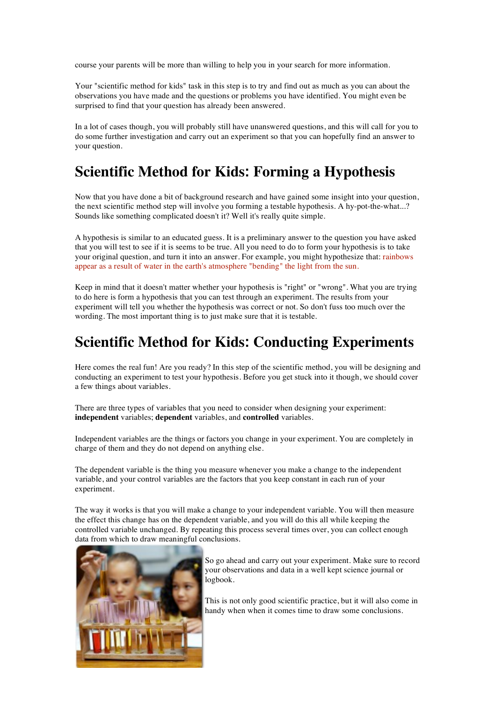course your parents will be more than willing to help you in your search for more information.

Your "scientific method for kids" task in this step is to try and find out as much as you can about the observations you have made and the questions or problems you have identified. You might even be surprised to find that your question has already been answered.

In a lot of cases though, you will probably still have unanswered questions, and this will call for you to do some further investigation and carry out an experiment so that you can hopefully find an answer to your question.

#### **Scientific Method for Kids: Forming a Hypothesis**

Now that you have done a bit of background research and have gained some insight into your question, the next scientific method step will involve you forming a testable hypothesis. A hy-pot-the-what...? Sounds like something complicated doesn't it? Well it's really quite simple.

A hypothesis is similar to an educated guess. It is a preliminary answer to the question you have asked that you will test to see if it is seems to be true. All you need to do to form your hypothesis is to take your original question, and turn it into an answer. For example, you might hypothesize that: rainbows appear as a result of water in the earth's atmosphere "bending" the light from the sun.

Keep in mind that it doesn't matter whether your hypothesis is "right" or "wrong". What you are trying to do here is form a hypothesis that you can test through an experiment. The results from your experiment will tell you whether the hypothesis was correct or not. So don't fuss too much over the wording. The most important thing is to just make sure that it is testable.

#### **Scientific Method for Kids: Conducting Experiments**

Here comes the real fun! Are you ready? In this step of the scientific method, you will be designing and conducting an experiment to test your hypothesis. Before you get stuck into it though, we should cover a few things about variables.

There are three types of variables that you need to consider when designing your experiment: **independent** variables; **dependent** variables, and **controlled** variables.

Independent variables are the things or factors you change in your experiment. You are completely in charge of them and they do not depend on anything else.

The dependent variable is the thing you measure whenever you make a change to the independent variable, and your control variables are the factors that you keep constant in each run of your experiment.

The way it works is that you will make a change to your independent variable. You will then measure the effect this change has on the dependent variable, and you will do this all while keeping the controlled variable unchanged. By repeating this process several times over, you can collect enough data from which to draw meaningful conclusions.



So go ahead and carry out your experiment. Make sure to record your observations and data in a well kept science journal or logbook.

This is not only good scientific practice, but it will also come in handy when when it comes time to draw some conclusions.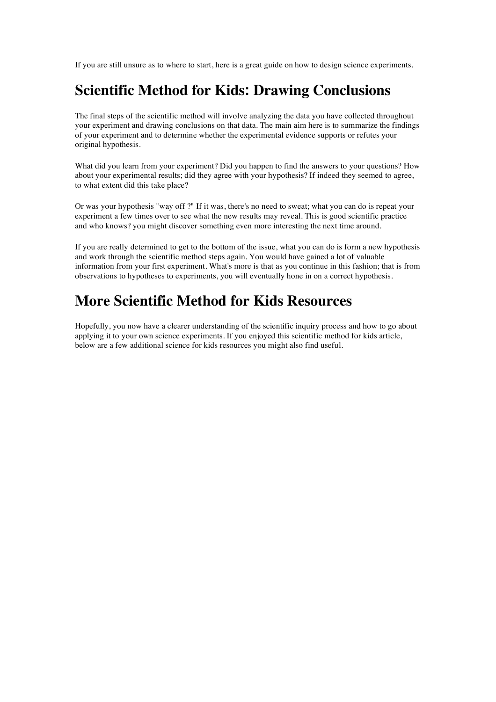If you are still unsure as to where to start, here is a great guide on how to design science experiments.

#### **Scientific Method for Kids: Drawing Conclusions**

The final steps of the scientific method will involve analyzing the data you have collected throughout your experiment and drawing conclusions on that data. The main aim here is to summarize the findings of your experiment and to determine whether the experimental evidence supports or refutes your original hypothesis.

What did you learn from your experiment? Did you happen to find the answers to your questions? How about your experimental results; did they agree with your hypothesis? If indeed they seemed to agree, to what extent did this take place?

Or was your hypothesis "way off ?" If it was, there's no need to sweat; what you can do is repeat your experiment a few times over to see what the new results may reveal. This is good scientific practice and who knows? you might discover something even more interesting the next time around.

If you are really determined to get to the bottom of the issue, what you can do is form a new hypothesis and work through the scientific method steps again. You would have gained a lot of valuable information from your first experiment. What's more is that as you continue in this fashion; that is from observations to hypotheses to experiments, you will eventually hone in on a correct hypothesis.

#### **More Scientific Method for Kids Resources**

Hopefully, you now have a clearer understanding of the scientific inquiry process and how to go about applying it to your own science experiments. If you enjoyed this scientific method for kids article, below are a few additional science for kids resources you might also find useful.